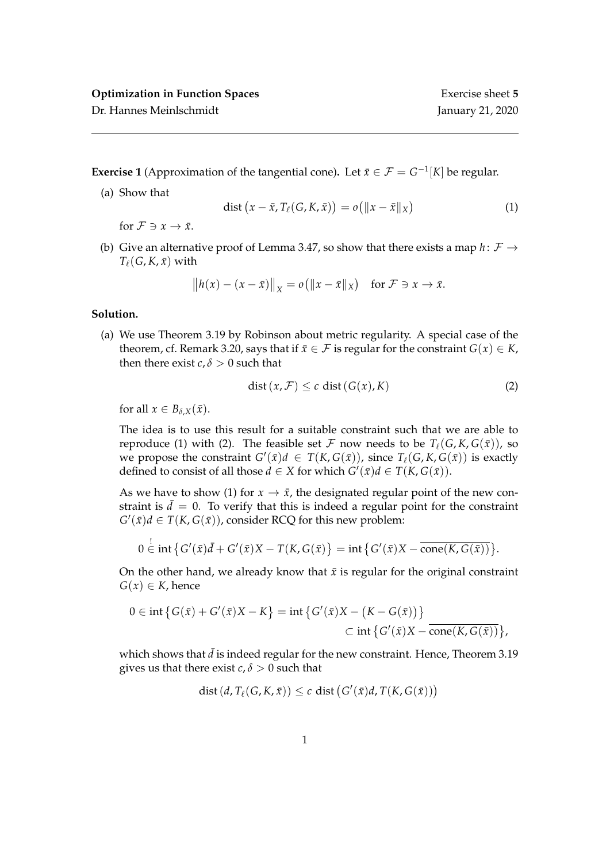Dr. Hannes Meinlschmidt January 21, 2020

**Exercise 1** (Approximation of the tangential cone). Let  $\bar{x} \in \mathcal{F} = G^{-1}[K]$  be regular.

(a) Show that

$$
\text{dist}\left(x - \bar{x}, T_{\ell}(G, K, \bar{x})\right) = o\left(\|x - \bar{x}\|_{X}\right) \tag{1}
$$

for  $\mathcal{F} \ni x \to \bar{x}$ .

(b) Give an alternative proof of Lemma 3.47, so show that there exists a map  $h: \mathcal{F} \rightarrow$  $T_\ell(G, K, \bar{x})$  with

$$
||h(x) - (x - \bar{x})||_X = o(||x - \bar{x}||_X) \text{ for } \mathcal{F} \ni x \to \bar{x}.
$$

## **Solution.**

(a) We use Theorem 3.19 by Robinson about metric regularity. A special case of the theorem, cf. Remark 3.20, says that if  $\bar{x} \in \mathcal{F}$  is regular for the constraint  $G(x) \in K$ , then there exist *c*,  $\delta > 0$  such that

$$
dist(x, \mathcal{F}) \le c \, dist(G(x), K) \tag{2}
$$

for all  $x \in B_{\delta,X}(\bar{x})$ .

The idea is to use this result for a suitable constraint such that we are able to reproduce (1) with (2). The feasible set F now needs to be  $T_\ell(G, K, G(\bar{x}))$ , so we propose the constraint  $G'(\bar{x})d \in T(K, G(\bar{x}))$ , since  $T_{\ell}(G, K, G(\bar{x}))$  is exactly defined to consist of all those *d*  $\in$  *X* for which *G'*( $\bar{x}$ )*d*  $\in$  *T*(*K*, *G*( $\bar{x}$ )).

As we have to show (1) for  $x \to \bar{x}$ , the designated regular point of the new constraint is  $\bar{d} = 0$ . To verify that this is indeed a regular point for the constraint  $G'(\bar{x})d \in T(K, G(\bar{x}))$ , consider RCQ for this new problem:

$$
0 \stackrel{!}{\in} \operatorname{int} \{ G'(\bar{x})\bar{d} + G'(\bar{x})X - T(K,G(\bar{x}) \} = \operatorname{int} \{ G'(\bar{x})X - \overline{\operatorname{cone}(K,G(\bar{x}))} \}.
$$

On the other hand, we already know that  $\bar{x}$  is regular for the original constraint  $G(x) \in K$ , hence

$$
0 \in \text{int}\left\{G(\bar{x}) + G'(\bar{x})X - K\right\} = \text{int}\left\{G'(\bar{x})X - \big(K - G(\bar{x})\big)\right\}
$$
  

$$
\subset \text{int}\left\{G'(\bar{x})X - \overline{\text{cone}(K, G(\bar{x}))}\right\},
$$

which shows that  $\bar{d}$  is indeed regular for the new constraint. Hence, Theorem 3.19 gives us that there exist  $c, \delta > 0$  such that

$$
\text{dist}\left(d, T_{\ell}(G, K, \bar{x})\right) \leq c \text{ dist}\left(G'(\bar{x})d, T(K, G(\bar{x}))\right)
$$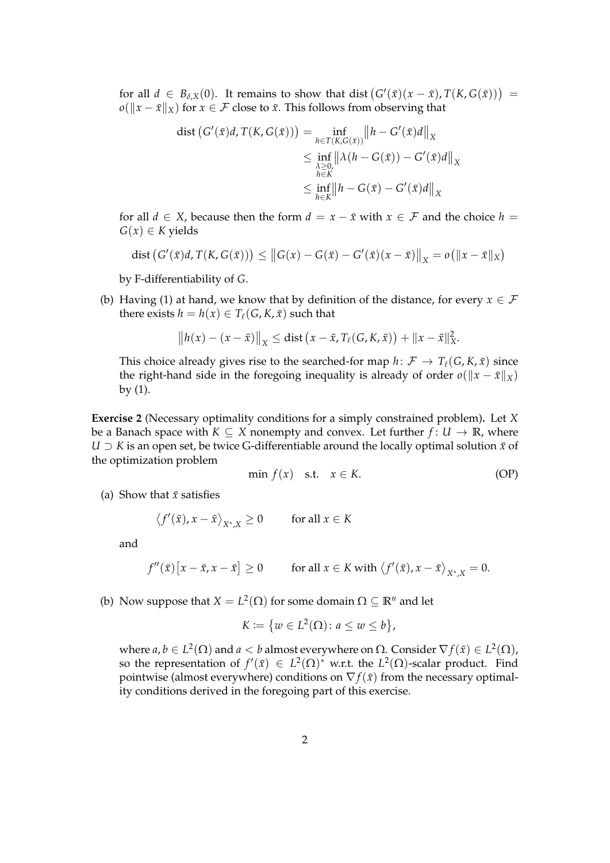for all  $d \in B_{\delta,X}(0)$ . It remains to show that dist  $(G'(\bar{x})(x-\bar{x}), T(K,G(\bar{x})))$  =  $o(||x - \bar{x}||_X)$  for  $x \in \mathcal{F}$  close to  $\bar{x}$ . This follows from observing that

$$
\text{dist}\left(G'(\bar{x})d, T(K, G(\bar{x}))\right) = \inf_{\substack{h \in T(K, G(\bar{x})) \\ \leq \inf_{\substack{\lambda \geq 0, \\ h \in K}}} \left\|h - G'(\bar{x})d\right\|_{X} \\ \leq \inf_{\substack{\lambda \geq 0, \\ h \in K}} \left\|h - G(\bar{x}) - G'(\bar{x})d\right\|_{X}
$$

for all  $d \in X$ , because then the form  $d = x - \bar{x}$  with  $x \in \mathcal{F}$  and the choice  $h =$  $G(x) \in K$  yields

dist 
$$
(G'(\bar{x})d, T(K, G(\bar{x}))) \le ||G(x) - G(\bar{x}) - G'(\bar{x})(x - \bar{x})||_X = o(||x - \bar{x}||_X)
$$

by F-differentiability of *G*.

(b) Having (1) at hand, we know that by definition of the distance, for every  $x \in \mathcal{F}$ there exists  $h = h(x) \in T_\ell(G, K, \bar{x})$  such that

$$
||h(x) - (x - \bar{x})||_X \leq \text{dist} (x - \bar{x}, T_\ell(G, K, \bar{x})) + ||x - \bar{x}||_X^2.
$$

This choice already gives rise to the searched-for map  $h: \mathcal{F} \to T_{\ell}(G, K, \bar{x})$  since the right-hand side in the foregoing inequality is already of order  $o(\Vert x - \bar{x} \Vert_X)$ by  $(1)$ .

**Exercise 2** (Necessary optimality conditions for a simply constrained problem)**.** Let *X* be a Banach space with  $K \subseteq X$  nonempty and convex. Let further  $f: U \to \mathbb{R}$ , where *U*  $\supset$  *K* is an open set, be twice G-differentiable around the locally optimal solution  $\bar{x}$  of the optimization problem

$$
\min f(x) \quad \text{s.t.} \quad x \in K. \tag{OP}
$$

(a) Show that  $\bar{x}$  satisfies

 $\langle f'(\bar{x}), x - \bar{x} \rangle_{X^*, X} \ge 0$  for all  $x \in K$ 

and

$$
f''(\bar{x})[x-\bar{x},x-\bar{x}] \ge 0 \qquad \text{for all } x \in K \text{ with } \langle f'(\bar{x}),x-\bar{x} \rangle_{X^*,X} = 0.
$$

(b) Now suppose that  $X = L^2(\Omega)$  for some domain  $\Omega \subseteq \mathbb{R}^n$  and let

$$
K := \{ w \in L^2(\Omega) \colon a \le w \le b \},
$$

where  $a, b \in L^2(\Omega)$  and  $a < b$  almost everywhere on  $\Omega$ . Consider  $\nabla f(\bar x) \in L^2(\Omega)$ , so the representation of  $f'(\bar{x}) \in L^2(\Omega)$ <sup>\*</sup> w.r.t. the  $L^2(\Omega)$ -scalar product. Find pointwise (almost everywhere) conditions on  $\nabla f(\bar{x})$  from the necessary optimality conditions derived in the foregoing part of this exercise.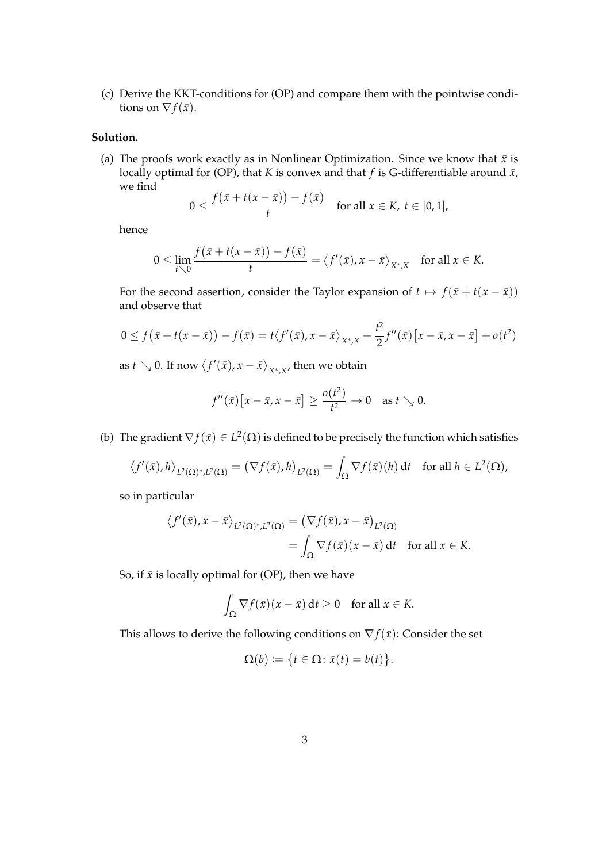(c) Derive the KKT-conditions for (OP) and compare them with the pointwise conditions on  $\nabla f(\bar{x})$ .

## **Solution.**

(a) The proofs work exactly as in Nonlinear Optimization. Since we know that  $\bar{x}$  is locally optimal for (OP), that *K* is convex and that *f* is G-differentiable around  $\bar{x}$ , we find

$$
0 \leq \frac{f(\bar{x}+t(x-\bar{x}))-f(\bar{x})}{t} \quad \text{for all } x \in K, t \in [0,1],
$$

hence

$$
0 \leq \lim_{t \searrow 0} \frac{f(\bar{x} + t(x - \bar{x})) - f(\bar{x})}{t} = \langle f'(\bar{x}), x - \bar{x} \rangle_{X^*,X} \quad \text{for all } x \in K.
$$

For the second assertion, consider the Taylor expansion of  $t \mapsto f(\bar{x} + t(x - \bar{x}))$ and observe that

$$
0 \le f(\bar{x} + t(x - \bar{x})) - f(\bar{x}) = t \langle f'(\bar{x}), x - \bar{x} \rangle_{X^*,X} + \frac{t^2}{2} f''(\bar{x}) [x - \bar{x}, x - \bar{x}] + o(t^2)
$$

as  $t\searrow 0$ . If now  $\left\langle f'(\bar x), x - \bar x\right\rangle_{X^*,X'}$  then we obtain

$$
f''(\bar{x})[x-\bar{x},x-\bar{x}]\geq \frac{o(t^2)}{t^2}\to 0 \text{ as } t\searrow 0.
$$

(b) The gradient  $\nabla f(\bar{x}) \in L^2(\Omega)$  is defined to be precisely the function which satisfies

$$
\langle f'(\bar{x}), h \rangle_{L^2(\Omega)^*, L^2(\Omega)} = \left( \nabla f(\bar{x}), h \right)_{L^2(\Omega)} = \int_{\Omega} \nabla f(\bar{x})(h) dt \quad \text{for all } h \in L^2(\Omega),
$$

so in particular

$$
\langle f'(\bar{x}), x - \bar{x} \rangle_{L^2(\Omega)^*, L^2(\Omega)} = (\nabla f(\bar{x}), x - \bar{x})_{L^2(\Omega)}
$$
  
= 
$$
\int_{\Omega} \nabla f(\bar{x})(x - \bar{x}) dt \text{ for all } x \in K.
$$

So, if  $\bar{x}$  is locally optimal for (OP), then we have

$$
\int_{\Omega} \nabla f(\bar{x})(x - \bar{x}) dt \ge 0 \quad \text{for all } x \in K.
$$

This allows to derive the following conditions on  $\nabla f(\bar{x})$ : Consider the set

$$
\Omega(b) \coloneqq \big\{ t \in \Omega \colon \bar{x}(t) = b(t) \big\}.
$$